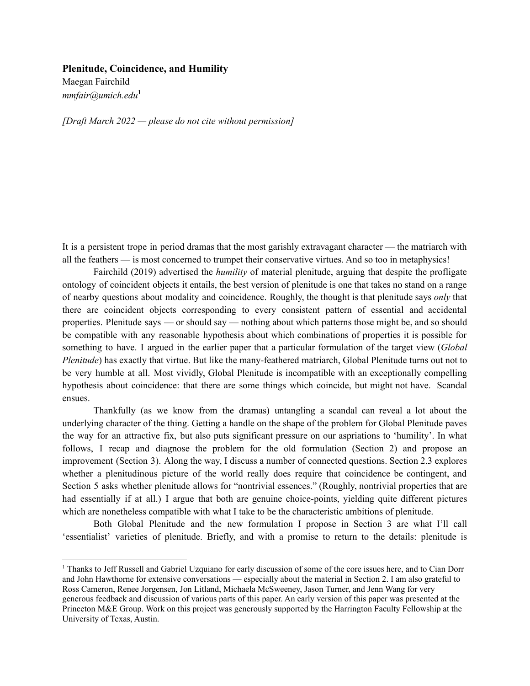## **Plenitude, Coincidence, and Humility**

Maegan Fairchild *mmfair@umich.edu* **1**

*[Draft March 2022 — please do not cite without permission]*

It is a persistent trope in period dramas that the most garishly extravagant character — the matriarch with all the feathers — is most concerned to trumpet their conservative virtues. And so too in metaphysics!

Fairchild (2019) advertised the *humility* of material plenitude, arguing that despite the profligate ontology of coincident objects it entails, the best version of plenitude is one that takes no stand on a range of nearby questions about modality and coincidence. Roughly, the thought is that plenitude says *only* that there are coincident objects corresponding to every consistent pattern of essential and accidental properties. Plenitude says — or should say — nothing about which patterns those might be, and so should be compatible with any reasonable hypothesis about which combinations of properties it is possible for something to have. I argued in the earlier paper that a particular formulation of the target view (*Global Plenitude*) has exactly that virtue. But like the many-feathered matriarch, Global Plenitude turns out not to be very humble at all. Most vividly, Global Plenitude is incompatible with an exceptionally compelling hypothesis about coincidence: that there are some things which coincide, but might not have. Scandal ensues.

Thankfully (as we know from the dramas) untangling a scandal can reveal a lot about the underlying character of the thing. Getting a handle on the shape of the problem for Global Plenitude paves the way for an attractive fix, but also puts significant pressure on our aspriations to 'humility'. In what follows, I recap and diagnose the problem for the old formulation (Section 2) and propose an improvement (Section 3). Along the way, I discuss a number of connected questions. Section 2.3 explores whether a plenitudinous picture of the world really does require that coincidence be contingent, and Section 5 asks whether plenitude allows for "nontrivial essences." (Roughly, nontrivial properties that are had essentially if at all.) I argue that both are genuine choice-points, yielding quite different pictures which are nonetheless compatible with what I take to be the characteristic ambitions of plenitude.

Both Global Plenitude and the new formulation I propose in Section 3 are what I'll call 'essentialist' varieties of plenitude. Briefly, and with a promise to return to the details: plenitude is

<sup>&</sup>lt;sup>1</sup> Thanks to Jeff Russell and Gabriel Uzquiano for early discussion of some of the core issues here, and to Cian Dorr and John Hawthorne for extensive conversations — especially about the material in Section 2. I am also grateful to Ross Cameron, Renee Jorgensen, Jon Litland, Michaela McSweeney, Jason Turner, and Jenn Wang for very generous feedback and discussion of various parts of this paper. An early version of this paper was presented at the Princeton M&E Group. Work on this project was generously supported by the Harrington Faculty Fellowship at the University of Texas, Austin.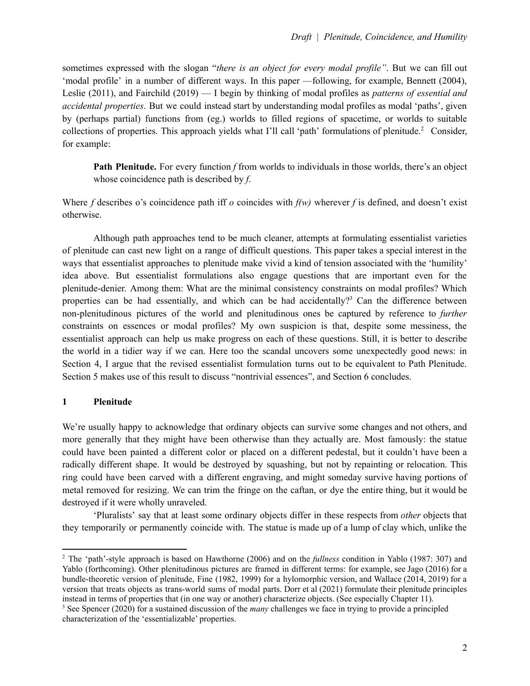sometimes expressed with the slogan "*there is an object for every modal profile"*. But we can fill out 'modal profile' in a number of different ways. In this paper —following, for example, Bennett (2004), Leslie (2011), and Fairchild (2019) — I begin by thinking of modal profiles as *patterns of essential and accidental properties*. But we could instead start by understanding modal profiles as modal 'paths', given by (perhaps partial) functions from (eg.) worlds to filled regions of spacetime, or worlds to suitable collections of properties. This approach yields what I'll call 'path' formulations of plenitude. <sup>2</sup> Consider, for example:

**Path Plenitude.** For every function *f* from worlds to individuals in those worlds, there's an object whose coincidence path is described by *f*.

Where *f* describes o's coincidence path iff *o* coincides with *f(w)* wherever *f* is defined, and doesn't exist otherwise.

Although path approaches tend to be much cleaner, attempts at formulating essentialist varieties of plenitude can cast new light on a range of difficult questions. This paper takes a special interest in the ways that essentialist approaches to plenitude make vivid a kind of tension associated with the 'humility' idea above. But essentialist formulations also engage questions that are important even for the plenitude-denier. Among them: What are the minimal consistency constraints on modal profiles? Which properties can be had essentially, and which can be had accidentally?<sup>3</sup> Can the difference between non-plenitudinous pictures of the world and plenitudinous ones be captured by reference to *further* constraints on essences or modal profiles? My own suspicion is that, despite some messiness, the essentialist approach can help us make progress on each of these questions. Still, it is better to describe the world in a tidier way if we can. Here too the scandal uncovers some unexpectedly good news: in Section 4, I argue that the revised essentialist formulation turns out to be equivalent to Path Plenitude. Section 5 makes use of this result to discuss "nontrivial essences", and Section 6 concludes.

# **1 Plenitude**

We're usually happy to acknowledge that ordinary objects can survive some changes and not others, and more generally that they might have been otherwise than they actually are. Most famously: the statue could have been painted a different color or placed on a different pedestal, but it couldn't have been a radically different shape. It would be destroyed by squashing, but not by repainting or relocation. This ring could have been carved with a different engraving, and might someday survive having portions of metal removed for resizing. We can trim the fringe on the caftan, or dye the entire thing, but it would be destroyed if it were wholly unraveled.

'Pluralists' say that at least some ordinary objects differ in these respects from *other* objects that they temporarily or permanently coincide with. The statue is made up of a lump of clay which, unlike the

<sup>2</sup> The 'path'-style approach is based on Hawthorne (2006) and on the *fullness* condition in Yablo (1987: 307) and Yablo (forthcoming). Other plenitudinous pictures are framed in different terms: for example, see Jago (2016) for a bundle-theoretic version of plenitude, Fine (1982, 1999) for a hylomorphic version, and Wallace (2014, 2019) for a version that treats objects as trans-world sums of modal parts. Dorr et al (2021) formulate their plenitude principles instead in terms of properties that (in one way or another) characterize objects. (See especially Chapter 11).

<sup>3</sup> See Spencer (2020) for a sustained discussion of the *many* challenges we face in trying to provide a principled characterization of the 'essentializable' properties.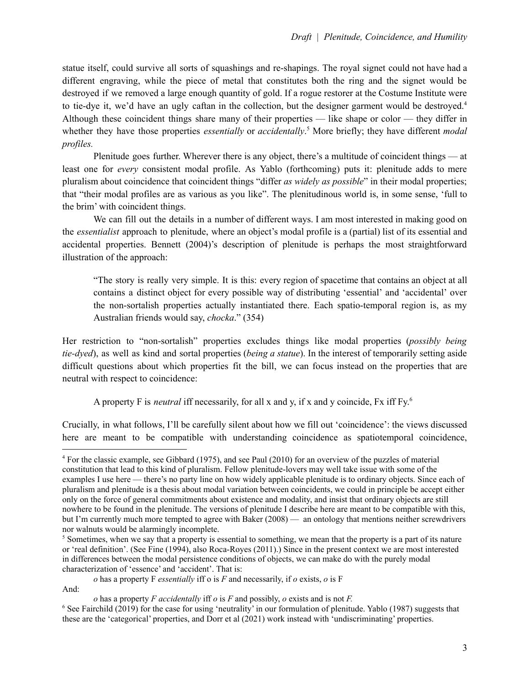statue itself, could survive all sorts of squashings and re-shapings. The royal signet could not have had a different engraving, while the piece of metal that constitutes both the ring and the signet would be destroyed if we removed a large enough quantity of gold. If a rogue restorer at the Costume Institute were to tie-dye it, we'd have an ugly caftan in the collection, but the designer garment would be destroyed.<sup>4</sup> Although these coincident things share many of their properties — like shape or color — they differ in whether they have those properties *essentially* or *accidentally*. <sup>5</sup> More briefly; they have different *modal profiles.*

Plenitude goes further. Wherever there is any object, there's a multitude of coincident things — at least one for *every* consistent modal profile. As Yablo (forthcoming) puts it: plenitude adds to mere pluralism about coincidence that coincident things "differ *as widely as possible*" in their modal properties; that "their modal profiles are as various as you like". The plenitudinous world is, in some sense, 'full to the brim' with coincident things.

We can fill out the details in a number of different ways. I am most interested in making good on the *essentialist* approach to plenitude, where an object's modal profile is a (partial) list of its essential and accidental properties. Bennett (2004)'s description of plenitude is perhaps the most straightforward illustration of the approach:

"The story is really very simple. It is this: every region of spacetime that contains an object at all contains a distinct object for every possible way of distributing 'essential' and 'accidental' over the non-sortalish properties actually instantiated there. Each spatio-temporal region is, as my Australian friends would say, *chocka*." (354)

Her restriction to "non-sortalish" properties excludes things like modal properties (*possibly being tie-dyed*), as well as kind and sortal properties (*being a statue*). In the interest of temporarily setting aside difficult questions about which properties fit the bill, we can focus instead on the properties that are neutral with respect to coincidence:

A property F is *neutral* iff necessarily, for all x and y, if x and y coincide, Fx iff Fy. 6

Crucially, in what follows, I'll be carefully silent about how we fill out 'coincidence': the views discussed here are meant to be compatible with understanding coincidence as spatiotemporal coincidence,

*o* has a property F *essentially* iff o is *F* and necessarily, if *o* exists, *o* is F And:

<sup>4</sup> For the classic example, see Gibbard (1975), and see Paul (2010) for an overview of the puzzles of material constitution that lead to this kind of pluralism. Fellow plenitude-lovers may well take issue with some of the examples I use here — there's no party line on how widely applicable plenitude is to ordinary objects. Since each of pluralism and plenitude is a thesis about modal variation between coincidents, we could in principle be accept either only on the force of general commitments about existence and modality, and insist that ordinary objects are still nowhere to be found in the plenitude. The versions of plenitude I describe here are meant to be compatible with this, but I'm currently much more tempted to agree with Baker (2008) — an ontology that mentions neither screwdrivers nor walnuts would be alarmingly incomplete.

<sup>&</sup>lt;sup>5</sup> Sometimes, when we say that a property is essential to something, we mean that the property is a part of its nature or 'real definition'. (See Fine (1994), also Roca-Royes (2011).) Since in the present context we are most interested in differences between the modal persistence conditions of objects, we can make do with the purely modal characterization of 'essence' and 'accident'. That is:

<sup>6</sup> See Fairchild (2019) for the case for using 'neutrality' in our formulation of plenitude. Yablo (1987) suggests that these are the 'categorical' properties, and Dorr et al (2021) work instead with 'undiscriminating' properties. *o* has a property *F accidentally* iff *o* is *F* and possibly, *o* exists and is not *F.*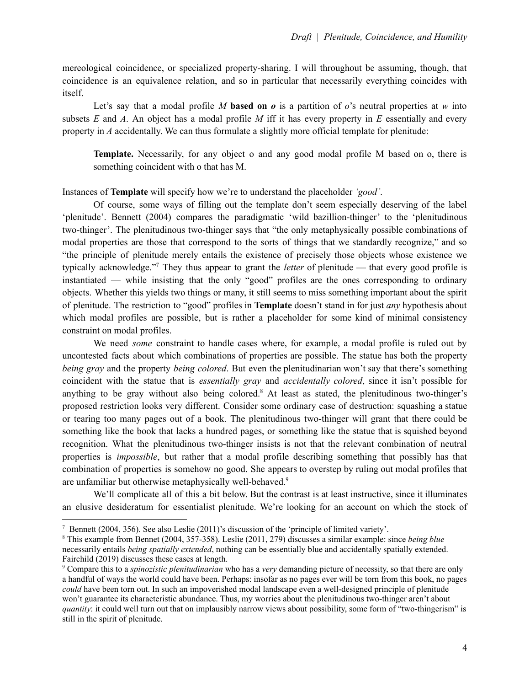mereological coincidence, or specialized property-sharing. I will throughout be assuming, though, that coincidence is an equivalence relation, and so in particular that necessarily everything coincides with itself.

Let's say that a modal profile *M* based on *o* is a partition of *o*'s neutral properties at *w* into subsets *E* and *A*. An object has a modal profile *M* iff it has every property in *E* essentially and every property in *A* accidentally. We can thus formulate a slightly more official template for plenitude:

**Template.** Necessarily, for any object o and any good modal profile M based on o, there is something coincident with o that has M.

Instances of **Template** will specify how we're to understand the placeholder *'good'*.

Of course, some ways of filling out the template don't seem especially deserving of the label 'plenitude'. Bennett (2004) compares the paradigmatic 'wild bazillion-thinger' to the 'plenitudinous two-thinger'. The plenitudinous two-thinger says that "the only metaphysically possible combinations of modal properties are those that correspond to the sorts of things that we standardly recognize," and so "the principle of plenitude merely entails the existence of precisely those objects whose existence we typically acknowledge." <sup>7</sup> They thus appear to grant the *letter* of plenitude — that every good profile is instantiated — while insisting that the only "good" profiles are the ones corresponding to ordinary objects. Whether this yields two things or many, it still seems to miss something important about the spirit of plenitude. The restriction to "good" profiles in **Template** doesn't stand in for just *any* hypothesis about which modal profiles are possible, but is rather a placeholder for some kind of minimal consistency constraint on modal profiles.

We need *some* constraint to handle cases where, for example, a modal profile is ruled out by uncontested facts about which combinations of properties are possible. The statue has both the property *being gray* and the property *being colored*. But even the plenitudinarian won't say that there's something coincident with the statue that is *essentially gray* and *accidentally colored*, since it isn't possible for anything to be gray without also being colored. <sup>8</sup> At least as stated, the plenitudinous two-thinger's proposed restriction looks very different. Consider some ordinary case of destruction: squashing a statue or tearing too many pages out of a book. The plenitudinous two-thinger will grant that there could be something like the book that lacks a hundred pages, or something like the statue that is squished beyond recognition. What the plenitudinous two-thinger insists is not that the relevant combination of neutral properties is *impossible*, but rather that a modal profile describing something that possibly has that combination of properties is somehow no good. She appears to overstep by ruling out modal profiles that are unfamiliar but otherwise metaphysically well-behaved. 9

We'll complicate all of this a bit below. But the contrast is at least instructive, since it illuminates an elusive desideratum for essentialist plenitude. We're looking for an account on which the stock of

<sup>7</sup> Bennett (2004, 356). See also Leslie (2011)'s discussion of the 'principle of limited variety'.

<sup>8</sup> This example from Bennet (2004, 357-358). Leslie (2011, 279) discusses a similar example: since *being blue* necessarily entails *being spatially extended*, nothing can be essentially blue and accidentally spatially extended. Fairchild (2019) discusses these cases at length.

<sup>9</sup> Compare this to a *spinozistic plenitudinarian* who has a *very* demanding picture of necessity, so that there are only a handful of ways the world could have been. Perhaps: insofar as no pages ever will be torn from this book, no pages *could* have been torn out. In such an impoverished modal landscape even a well-designed principle of plenitude won't guarantee its characteristic abundance. Thus, my worries about the plenitudinous two-thinger aren't about *quantity*: it could well turn out that on implausibly narrow views about possibility, some form of "two-thingerism" is still in the spirit of plenitude.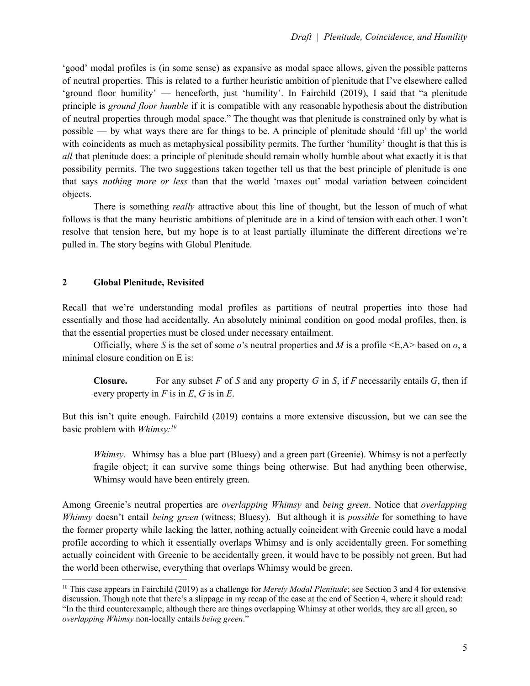'good' modal profiles is (in some sense) as expansive as modal space allows, given the possible patterns of neutral properties. This is related to a further heuristic ambition of plenitude that I've elsewhere called 'ground floor humility' — henceforth, just 'humility'. In Fairchild (2019), I said that "a plenitude principle is *ground floor humble* if it is compatible with any reasonable hypothesis about the distribution of neutral properties through modal space." The thought was that plenitude is constrained only by what is possible — by what ways there are for things to be. A principle of plenitude should 'fill up' the world with coincidents as much as metaphysical possibility permits. The further 'humility' thought is that this is *all* that plenitude does: a principle of plenitude should remain wholly humble about what exactly it is that possibility permits. The two suggestions taken together tell us that the best principle of plenitude is one that says *nothing more or less* than that the world 'maxes out' modal variation between coincident objects.

There is something *really* attractive about this line of thought, but the lesson of much of what follows is that the many heuristic ambitions of plenitude are in a kind of tension with each other. I won't resolve that tension here, but my hope is to at least partially illuminate the different directions we're pulled in. The story begins with Global Plenitude.

## **2 Global Plenitude, Revisited**

Recall that we're understanding modal profiles as partitions of neutral properties into those had essentially and those had accidentally. An absolutely minimal condition on good modal profiles, then, is that the essential properties must be closed under necessary entailment.

Officially, where *S* is the set of some *o*'s neutral properties and *M* is a profile <E,A> based on *o*, a minimal closure condition on E is:

**Closure.** For any subset  $F$  of  $S$  and any property  $G$  in  $S$ , if  $F$  necessarily entails  $G$ , then if every property in *F* is in *E*, *G* is in *E*.

But this isn't quite enough. Fairchild (2019) contains a more extensive discussion, but we can see the basic problem with *Whimsy: 10*

*Whimsy*. Whimsy has a blue part (Bluesy) and a green part (Greenie). Whimsy is not a perfectly fragile object; it can survive some things being otherwise. But had anything been otherwise, Whimsy would have been entirely green.

Among Greenie's neutral properties are *overlapping Whimsy* and *being green*. Notice that *overlapping Whimsy* doesn't entail *being green* (witness; Bluesy). But although it is *possible* for something to have the former property while lacking the latter, nothing actually coincident with Greenie could have a modal profile according to which it essentially overlaps Whimsy and is only accidentally green. For something actually coincident with Greenie to be accidentally green, it would have to be possibly not green. But had the world been otherwise, everything that overlaps Whimsy would be green.

<sup>10</sup> This case appears in Fairchild (2019) as a challenge for *Merely Modal Plenitude*; see Section 3 and 4 for extensive discussion. Though note that there's a slippage in my recap of the case at the end of Section 4, where it should read: "In the third counterexample, although there are things overlapping Whimsy at other worlds, they are all green, so *overlapping Whimsy* non-locally entails *being green*."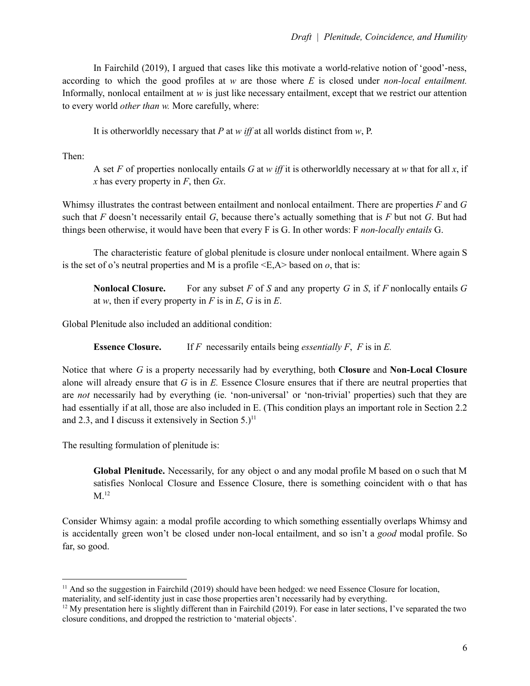In Fairchild (2019), I argued that cases like this motivate a world-relative notion of 'good'-ness, according to which the good profiles at *w* are those where *E* is closed under *non-local entailment.* Informally, nonlocal entailment at *w* is just like necessary entailment, except that we restrict our attention to every world *other than w.* More carefully, where:

It is otherworldly necessary that *P* at *w if* at all worlds distinct from *w*, P.

Then:

A set *F* of properties nonlocally entails *G* at *w if* it is otherworldly necessary at *w* that for all *x*, if *x* has every property in *F*, then *Gx*.

Whimsy illustrates the contrast between entailment and nonlocal entailment. There are properties *F* and *G* such that *F* doesn't necessarily entail *G*, because there's actually something that is *F* but not *G*. But had things been otherwise, it would have been that every F is G. In other words: F *non-locally entails* G.

The characteristic feature of global plenitude is closure under nonlocal entailment. Where again S is the set of o's neutral properties and M is a profile  $\leq E.A$  based on *o*, that is:

**Nonlocal Closure.** For any subset *F* of *S* and any property *G* in *S*, if *F* nonlocally entails *G* at *w*, then if every property in *F* is in *E*, *G* is in *E*.

Global Plenitude also included an additional condition:

**Essence Closure.** If *F* necessarily entails being *essentially F*, *F* is in *E.*

Notice that where *G* is a property necessarily had by everything, both **Closure** and **Non-Local Closure** alone will already ensure that *G* is in *E.* Essence Closure ensures that if there are neutral properties that are *not* necessarily had by everything (ie. 'non-universal' or 'non-trivial' properties) such that they are had essentially if at all, those are also included in E. (This condition plays an important role in Section 2.2) and 2.3, and I discuss it extensively in Section  $5.$ )<sup>11</sup>

The resulting formulation of plenitude is:

**Global Plenitude.** Necessarily, for any object o and any modal profile M based on o such that M satisfies Nonlocal Closure and Essence Closure, there is something coincident with o that has  $M.^{12}$ 

Consider Whimsy again: a modal profile according to which something essentially overlaps Whimsy and is accidentally green won't be closed under non-local entailment, and so isn't a *good* modal profile. So far, so good.

<sup>&</sup>lt;sup>11</sup> And so the suggestion in Fairchild (2019) should have been hedged: we need Essence Closure for location,

materiality, and self-identity just in case those properties aren't necessarily had by everything.

<sup>&</sup>lt;sup>12</sup> My presentation here is slightly different than in Fairchild (2019). For ease in later sections, I've separated the two closure conditions, and dropped the restriction to 'material objects'.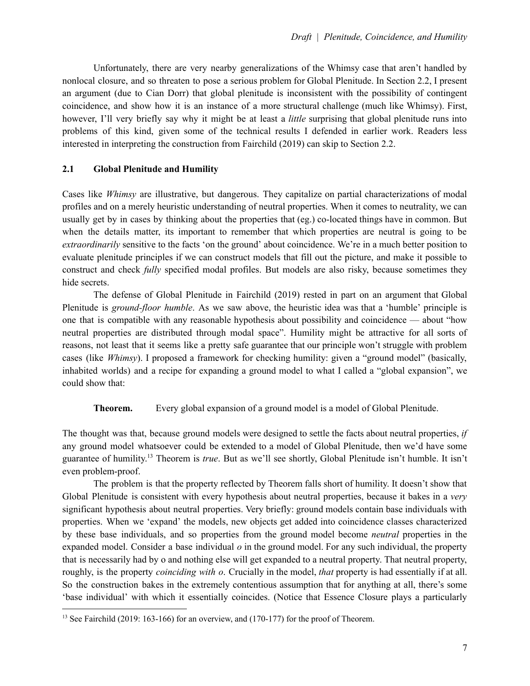Unfortunately, there are very nearby generalizations of the Whimsy case that aren't handled by nonlocal closure, and so threaten to pose a serious problem for Global Plenitude. In Section 2.2, I present an argument (due to Cian Dorr) that global plenitude is inconsistent with the possibility of contingent coincidence, and show how it is an instance of a more structural challenge (much like Whimsy). First, however, I'll very briefly say why it might be at least a *little* surprising that global plenitude runs into problems of this kind, given some of the technical results I defended in earlier work. Readers less interested in interpreting the construction from Fairchild (2019) can skip to Section 2.2.

## **2.1 Global Plenitude and Humility**

Cases like *Whimsy* are illustrative, but dangerous. They capitalize on partial characterizations of modal profiles and on a merely heuristic understanding of neutral properties. When it comes to neutrality, we can usually get by in cases by thinking about the properties that (eg.) co-located things have in common. But when the details matter, its important to remember that which properties are neutral is going to be *extraordinarily* sensitive to the facts 'on the ground' about coincidence. We're in a much better position to evaluate plenitude principles if we can construct models that fill out the picture, and make it possible to construct and check *fully* specified modal profiles. But models are also risky, because sometimes they hide secrets.

The defense of Global Plenitude in Fairchild (2019) rested in part on an argument that Global Plenitude is *ground-floor humble*. As we saw above, the heuristic idea was that a 'humble' principle is one that is compatible with any reasonable hypothesis about possibility and coincidence — about "how neutral properties are distributed through modal space". Humility might be attractive for all sorts of reasons, not least that it seems like a pretty safe guarantee that our principle won't struggle with problem cases (like *Whimsy*). I proposed a framework for checking humility: given a "ground model" (basically, inhabited worlds) and a recipe for expanding a ground model to what I called a "global expansion", we could show that:

**Theorem.** Every global expansion of a ground model is a model of Global Plenitude.

The thought was that, because ground models were designed to settle the facts about neutral properties, *if* any ground model whatsoever could be extended to a model of Global Plenitude, then we'd have some guarantee of humility. <sup>13</sup> Theorem is *true*. But as we'll see shortly, Global Plenitude isn't humble. It isn't even problem-proof.

The problem is that the property reflected by Theorem falls short of humility. It doesn't show that Global Plenitude is consistent with every hypothesis about neutral properties, because it bakes in a *very* significant hypothesis about neutral properties. Very briefly: ground models contain base individuals with properties. When we 'expand' the models, new objects get added into coincidence classes characterized by these base individuals, and so properties from the ground model become *neutral* properties in the expanded model. Consider a base individual *o* in the ground model. For any such individual, the property that is necessarily had by o and nothing else will get expanded to a neutral property. That neutral property, roughly, is the property *coinciding with o*. Crucially in the model, *that* property is had essentially if at all. So the construction bakes in the extremely contentious assumption that for anything at all, there's some 'base individual' with which it essentially coincides. (Notice that Essence Closure plays a particularly

<sup>&</sup>lt;sup>13</sup> See Fairchild (2019: 163-166) for an overview, and (170-177) for the proof of Theorem.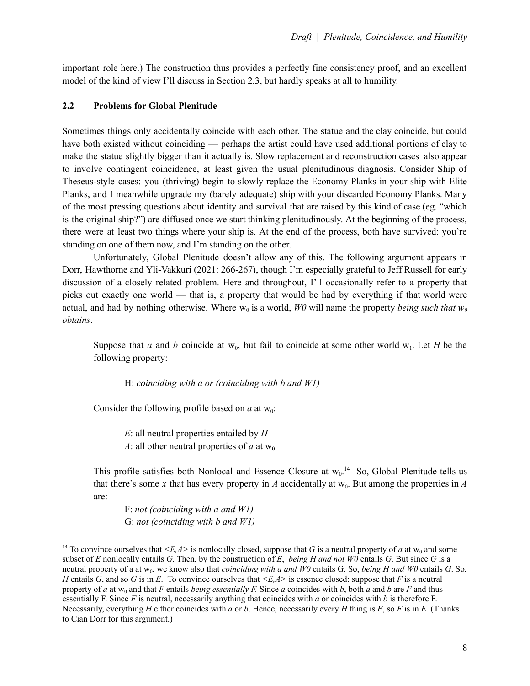important role here.) The construction thus provides a perfectly fine consistency proof, and an excellent model of the kind of view I'll discuss in Section 2.3, but hardly speaks at all to humility.

## **2.2 Problems for Global Plenitude**

Sometimes things only accidentally coincide with each other. The statue and the clay coincide, but could have both existed without coinciding — perhaps the artist could have used additional portions of clay to make the statue slightly bigger than it actually is. Slow replacement and reconstruction cases also appear to involve contingent coincidence, at least given the usual plenitudinous diagnosis. Consider Ship of Theseus-style cases: you (thriving) begin to slowly replace the Economy Planks in your ship with Elite Planks, and I meanwhile upgrade my (barely adequate) ship with your discarded Economy Planks. Many of the most pressing questions about identity and survival that are raised by this kind of case (eg. "which is the original ship?") are diffused once we start thinking plenitudinously. At the beginning of the process, there were at least two things where your ship is. At the end of the process, both have survived: you're standing on one of them now, and I'm standing on the other.

Unfortunately, Global Plenitude doesn't allow any of this. The following argument appears in Dorr, Hawthorne and Yli-Vakkuri (2021: 266-267), though I'm especially grateful to Jeff Russell for early discussion of a closely related problem. Here and throughout, I'll occasionally refer to a property that picks out exactly one world — that is, a property that would be had by everything if that world were actual, and had by nothing otherwise. Where  $w_0$  is a world,  $W0$  will name the property *being such that*  $w_0$ *obtains*.

Suppose that *a* and *b* coincide at  $w_0$ , but fail to coincide at some other world  $w_1$ . Let *H* be the following property:

H: *coinciding with a or (coinciding with b and W1)*

Consider the following profile based on  $a$  at  $w_0$ :

*E*: all neutral properties entailed by *H A*: all other neutral properties of *a* at  $w_0$ 

This profile satisfies both Nonlocal and Essence Closure at  $w_0$ .<sup>14</sup> So, Global Plenitude tells us that there's some x that has every property in  $A$  accidentally at  $w_0$ . But among the properties in  $A$ are:

F: *not (coinciding with a and W1)* G: *not (coinciding with b and W1)*

<sup>&</sup>lt;sup>14</sup> To convince ourselves that  $\leq E.A>$  is nonlocally closed, suppose that *G* is a neutral property of *a* at w<sub>0</sub> and some subset of *E* nonlocally entails *G*. Then, by the construction of *E*, *being H* and not  $W0$  entails *G*. But since *G* is a neutral property of a at w<sub>0</sub>, we know also that *coinciding with a and W0* entails G. So, *being H and W0* entails G. So, *H* entails *G*, and so *G* is in *E*. To convince ourselves that *<E,A>* is essence closed: suppose that *F* is a neutral property of *a* at w<sub>0</sub> and that *F* entails *being essentially F*. Since *a* coincides with *b*, both *a* and *b* are *F* and thus essentially F. Since *F* is neutral, necessarily anything that coincides with *a* or coincides with *b* is therefore F. Necessarily, everything *H* either coincides with *a* or *b*. Hence, necessarily every *H* thing is *F*, so *F* is in *E.* (Thanks to Cian Dorr for this argument.)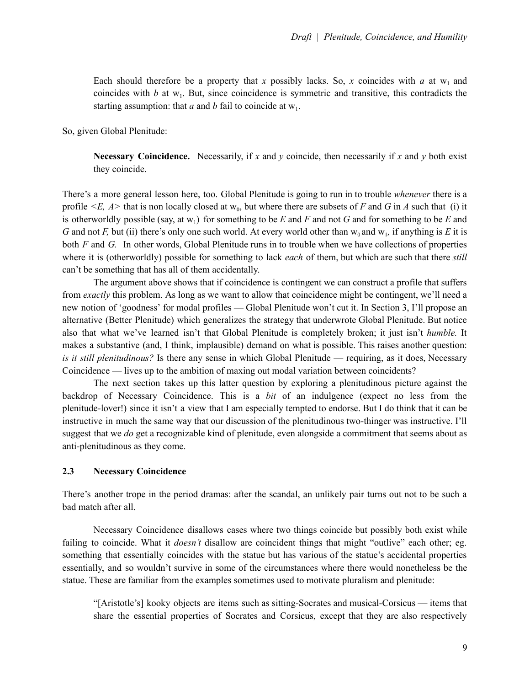Each should therefore be a property that *x* possibly lacks. So, *x* coincides with *a* at  $w_1$  and coincides with  $b$  at  $w_1$ . But, since coincidence is symmetric and transitive, this contradicts the starting assumption: that  $a$  and  $b$  fail to coincide at  $w_1$ .

So, given Global Plenitude:

**Necessary** Coincidence. Necessarily, if *x* and *y* coincide, then necessarily if *x* and *y* both exist they coincide.

There's a more general lesson here, too. Global Plenitude is going to run in to trouble *whenever* there is a profile  $\leq E$ ,  $A$  that is non locally closed at  $w_0$ , but where there are subsets of *F* and *G* in *A* such that (i) it is otherworldly possible (say, at  $w_1$ ) for something to be *E* and *F* and not *G* and for something to be *E* and *G* and not *F*, but (ii) there's only one such world. At every world other than  $w_0$  and  $w_1$ , if anything is *E* it is both *F* and *G.* In other words, Global Plenitude runs in to trouble when we have collections of properties where it is (otherworldly) possible for something to lack *each* of them, but which are such that there *still* can't be something that has all of them accidentally.

The argument above shows that if coincidence is contingent we can construct a profile that suffers from *exactly* this problem. As long as we want to allow that coincidence might be contingent, we'll need a new notion of 'goodness' for modal profiles — Global Plenitude won't cut it. In Section 3, I'll propose an alternative (Better Plenitude) which generalizes the strategy that underwrote Global Plenitude. But notice also that what we've learned isn't that Global Plenitude is completely broken; it just isn't *humble.* It makes a substantive (and, I think, implausible) demand on what is possible. This raises another question: *is it still plenitudinous?* Is there any sense in which Global Plenitude — requiring, as it does, Necessary Coincidence — lives up to the ambition of maxing out modal variation between coincidents?

The next section takes up this latter question by exploring a plenitudinous picture against the backdrop of Necessary Coincidence. This is a *bit* of an indulgence (expect no less from the plenitude-lover!) since it isn't a view that I am especially tempted to endorse. But I do think that it can be instructive in much the same way that our discussion of the plenitudinous two-thinger was instructive. I'll suggest that we *do* get a recognizable kind of plenitude, even alongside a commitment that seems about as anti-plenitudinous as they come.

## **2.3 Necessary Coincidence**

There's another trope in the period dramas: after the scandal, an unlikely pair turns out not to be such a bad match after all.

Necessary Coincidence disallows cases where two things coincide but possibly both exist while failing to coincide. What it *doesn't* disallow are coincident things that might "outlive" each other; eg. something that essentially coincides with the statue but has various of the statue's accidental properties essentially, and so wouldn't survive in some of the circumstances where there would nonetheless be the statue. These are familiar from the examples sometimes used to motivate pluralism and plenitude:

"[Aristotle's] kooky objects are items such as sitting-Socrates and musical-Corsicus — items that share the essential properties of Socrates and Corsicus, except that they are also respectively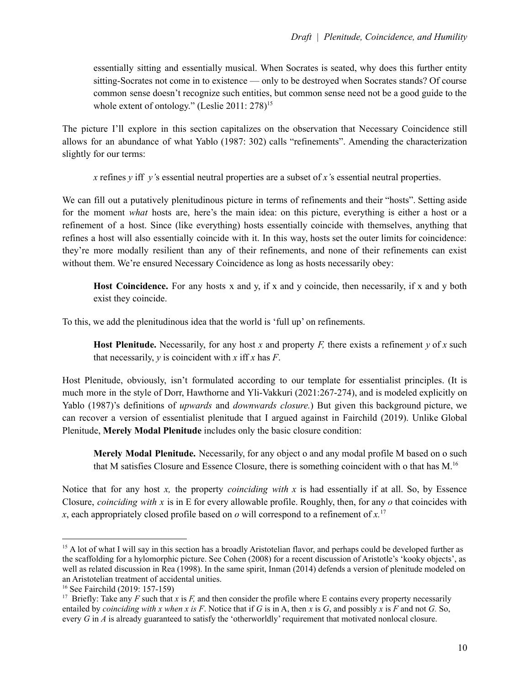essentially sitting and essentially musical. When Socrates is seated, why does this further entity sitting-Socrates not come in to existence — only to be destroyed when Socrates stands? Of course common sense doesn't recognize such entities, but common sense need not be a good guide to the whole extent of ontology." (Leslie 2011: 278)<sup>15</sup>

The picture I'll explore in this section capitalizes on the observation that Necessary Coincidence still allows for an abundance of what Yablo (1987: 302) calls "refinements". Amending the characterization slightly for our terms:

*x* refines *y* iff *y'*s essential neutral properties are a subset of *x'*s essential neutral properties.

We can fill out a putatively plenitudinous picture in terms of refinements and their "hosts". Setting aside for the moment *what* hosts are, here's the main idea: on this picture, everything is either a host or a refinement of a host. Since (like everything) hosts essentially coincide with themselves, anything that refines a host will also essentially coincide with it. In this way, hosts set the outer limits for coincidence: they're more modally resilient than any of their refinements, and none of their refinements can exist without them. We're ensured Necessary Coincidence as long as hosts necessarily obey:

**Host Coincidence.** For any hosts x and y, if x and y coincide, then necessarily, if x and y both exist they coincide.

To this, we add the plenitudinous idea that the world is 'full up' on refinements.

**Host Plenitude.** Necessarily, for any host *x* and property *F*, there exists a refinement *y* of *x* such that necessarily, *y* is coincident with *x* iff *x* has *F*.

Host Plenitude, obviously, isn't formulated according to our template for essentialist principles. (It is much more in the style of Dorr, Hawthorne and Yli-Vakkuri (2021:267-274), and is modeled explicitly on Yablo (1987)'s definitions of *upwards* and *downwards closure.*) But given this background picture, we can recover a version of essentialist plenitude that I argued against in Fairchild (2019). Unlike Global Plenitude, **Merely Modal Plenitude** includes only the basic closure condition:

**Merely Modal Plenitude.** Necessarily, for any object o and any modal profile M based on o such that M satisfies Closure and Essence Closure, there is something coincident with o that has M. 16

Notice that for any host *x,* the property *coinciding with x* is had essentially if at all. So, by Essence Closure, *coinciding with x* is in E for every allowable profile. Roughly, then, for any *o* that coincides with *x*, each appropriately closed profile based on *o* will correspond to a refinement of *x.* 17

<sup>&</sup>lt;sup>15</sup> A lot of what I will say in this section has a broadly Aristotelian flavor, and perhaps could be developed further as the scaffolding for a hylomorphic picture. See Cohen (2008) for a recent discussion of Aristotle's 'kooky objects', as well as related discussion in Rea (1998). In the same spirit, Inman (2014) defends a version of plenitude modeled on an Aristotelian treatment of accidental unities.

<sup>16</sup> See Fairchild (2019: 157-159)

<sup>&</sup>lt;sup>17</sup> Briefly: Take any *F* such that *x* is *F*, and then consider the profile where E contains every property necessarily entailed by *coinciding* with *x* when *x* is F. Notice that if G is in A, then *x* is G, and possibly *x* is F and not G. So, every *G* in *A* is already guaranteed to satisfy the 'otherworldly' requirement that motivated nonlocal closure.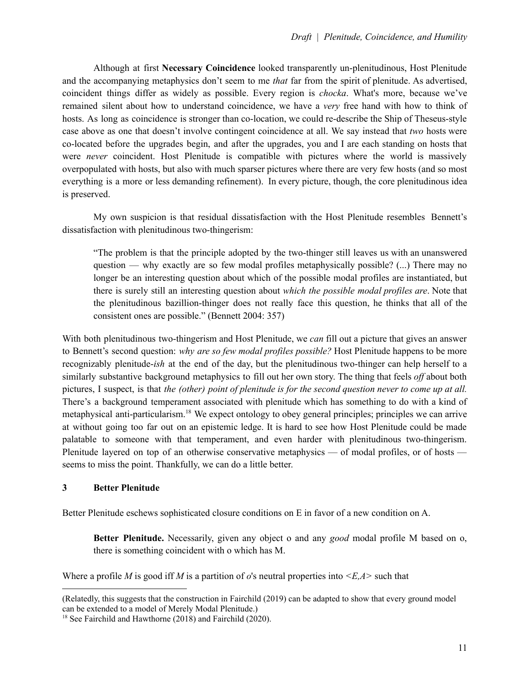Although at first **Necessary Coincidence** looked transparently un-plenitudinous, Host Plenitude and the accompanying metaphysics don't seem to me *that* far from the spirit of plenitude. As advertised, coincident things differ as widely as possible. Every region is *chocka*. What's more, because we've remained silent about how to understand coincidence, we have a *very* free hand with how to think of hosts. As long as coincidence is stronger than co-location, we could re-describe the Ship of Theseus-style case above as one that doesn't involve contingent coincidence at all. We say instead that *two* hosts were co-located before the upgrades begin, and after the upgrades, you and I are each standing on hosts that were *never* coincident. Host Plenitude is compatible with pictures where the world is massively overpopulated with hosts, but also with much sparser pictures where there are very few hosts (and so most everything is a more or less demanding refinement). In every picture, though, the core plenitudinous idea is preserved.

My own suspicion is that residual dissatisfaction with the Host Plenitude resembles Bennett's dissatisfaction with plenitudinous two-thingerism:

"The problem is that the principle adopted by the two-thinger still leaves us with an unanswered question — why exactly are so few modal profiles metaphysically possible? (...) There may no longer be an interesting question about which of the possible modal profiles are instantiated, but there is surely still an interesting question about *which the possible modal profiles are*. Note that the plenitudinous bazillion-thinger does not really face this question, he thinks that all of the consistent ones are possible." (Bennett 2004: 357)

With both plenitudinous two-thingerism and Host Plenitude, we *can* fill out a picture that gives an answer to Bennett's second question: *why are so few modal profiles possible?* Host Plenitude happens to be more recognizably plenitude-*ish* at the end of the day, but the plenitudinous two-thinger can help herself to a similarly substantive background metaphysics to fill out her own story. The thing that feels *of* about both pictures, I suspect, is that *the (other) point of plenitude is for the second question never to come up at all.* There's a background temperament associated with plenitude which has something to do with a kind of metaphysical anti-particularism.<sup>18</sup> We expect ontology to obey general principles; principles we can arrive at without going too far out on an epistemic ledge. It is hard to see how Host Plenitude could be made palatable to someone with that temperament, and even harder with plenitudinous two-thingerism. Plenitude layered on top of an otherwise conservative metaphysics — of modal profiles, or of hosts seems to miss the point. Thankfully, we can do a little better.

## **3 Better Plenitude**

Better Plenitude eschews sophisticated closure conditions on E in favor of a new condition on A.

**Better Plenitude.** Necessarily, given any object o and any *good* modal profile M based on o, there is something coincident with o which has M.

Where a profile *M* is good iff *M* is a partition of *o*'s neutral properties into *<E,A>* such that

<sup>(</sup>Relatedly, this suggests that the construction in Fairchild (2019) can be adapted to show that every ground model can be extended to a model of Merely Modal Plenitude.)

<sup>18</sup> See Fairchild and Hawthorne (2018) and Fairchild (2020).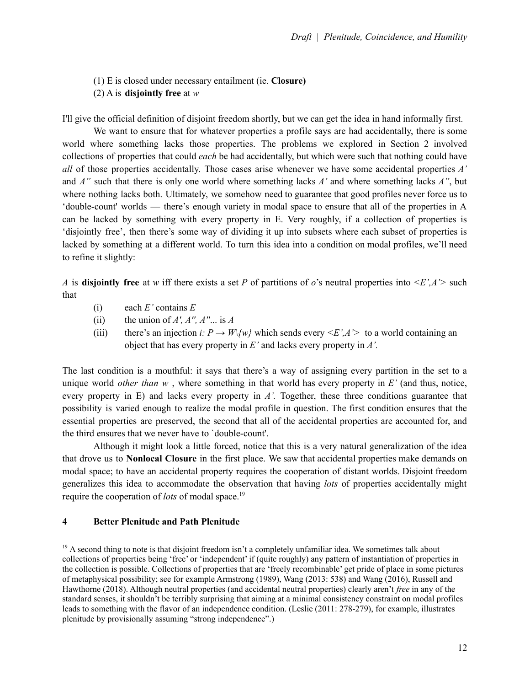- (1) E is closed under necessary entailment (ie. **Closure)**
- (2) A is **disjointly free** at *w*

I'll give the official definition of disjoint freedom shortly, but we can get the idea in hand informally first.

We want to ensure that for whatever properties a profile says are had accidentally, there is some world where something lacks those properties. The problems we explored in Section 2 involved collections of properties that could *each* be had accidentally, but which were such that nothing could have *all* of those properties accidentally. Those cases arise whenever we have some accidental properties *A'* and *A''* such that there is only one world where something lacks *A'* and where something lacks *A''*, but where nothing lacks both. Ultimately, we somehow need to guarantee that good profiles never force us to 'double-count' worlds — there's enough variety in modal space to ensure that all of the properties in A can be lacked by something with every property in E. Very roughly, if a collection of properties is 'disjointly free', then there's some way of dividing it up into subsets where each subset of properties is lacked by something at a different world. To turn this idea into a condition on modal profiles, we'll need to refine it slightly:

*A* is **disjointly** free at *w* iff there exists a set *P* of partitions of *o*'s neutral properties into  $\langle E', A' \rangle$  such that

- (i) each *E'* contains *E*
- (ii) the union of  $A'$ ,  $A''$ ,  $A''$ ... is  $A$
- (iii) there's an injection *i:*  $P \rightarrow W/\psi$  which sends every  $\langle E', A' \rangle$  to a world containing an object that has every property in *E'* and lacks every property in *A'.*

The last condition is a mouthful: it says that there's a way of assigning every partition in the set to a unique world *other than w* , where something in that world has every property in *E'* (and thus, notice, every property in E) and lacks every property in *A'.* Together, these three conditions guarantee that possibility is varied enough to realize the modal profile in question. The first condition ensures that the essential properties are preserved, the second that all of the accidental properties are accounted for, and the third ensures that we never have to `double-count'.

Although it might look a little forced, notice that this is a very natural generalization of the idea that drove us to **Nonlocal Closure** in the first place. We saw that accidental properties make demands on modal space; to have an accidental property requires the cooperation of distant worlds. Disjoint freedom generalizes this idea to accommodate the observation that having *lots* of properties accidentally might require the cooperation of *lots* of modal space. 19

#### **4 Better Plenitude and Path Plenitude**

 $19$  A second thing to note is that disjoint freedom isn't a completely unfamiliar idea. We sometimes talk about collections of properties being 'free' or 'independent' if (quite roughly) any pattern of instantiation of properties in the collection is possible. Collections of properties that are 'freely recombinable' get pride of place in some pictures of metaphysical possibility; see for example Armstrong (1989), Wang (2013: 538) and Wang (2016), Russell and Hawthorne (2018). Although neutral properties (and accidental neutral properties) clearly aren't *free* in any of the standard senses, it shouldn't be terribly surprising that aiming at a minimal consistency constraint on modal profiles leads to something with the flavor of an independence condition. (Leslie (2011: 278-279), for example, illustrates plenitude by provisionally assuming "strong independence".)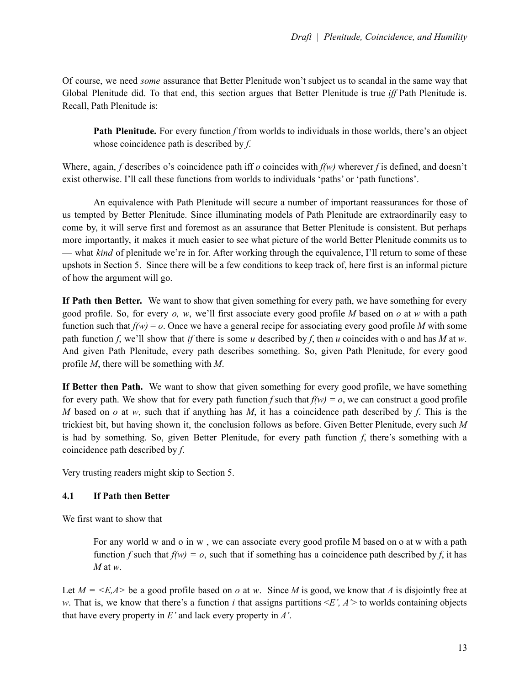Of course, we need *some* assurance that Better Plenitude won't subject us to scandal in the same way that Global Plenitude did. To that end, this section argues that Better Plenitude is true *if* Path Plenitude is. Recall, Path Plenitude is:

**Path Plenitude.** For every function *f* from worlds to individuals in those worlds, there's an object whose coincidence path is described by *f*.

Where, again, *f* describes o's coincidence path iff *o* coincides with *f(w)* wherever *f* is defined, and doesn't exist otherwise. I'll call these functions from worlds to individuals 'paths' or 'path functions'.

An equivalence with Path Plenitude will secure a number of important reassurances for those of us tempted by Better Plenitude. Since illuminating models of Path Plenitude are extraordinarily easy to come by, it will serve first and foremost as an assurance that Better Plenitude is consistent. But perhaps more importantly, it makes it much easier to see what picture of the world Better Plenitude commits us to — what *kind* of plenitude we're in for. After working through the equivalence, I'll return to some of these upshots in Section 5. Since there will be a few conditions to keep track of, here first is an informal picture of how the argument will go.

**If Path then Better.** We want to show that given something for every path, we have something for every good profile. So, for every *o, w*, we'll first associate every good profile *M* based on *o* at *w* with a path function such that  $f(w) = 0$ . Once we have a general recipe for associating every good profile *M* with some path function *f*, we'll show that *if* there is some *u* described by *f*, then *u* coincides with o and has *M* at *w*. And given Path Plenitude, every path describes something. So, given Path Plenitude, for every good profile *M*, there will be something with *M*.

**If Better then Path.** We want to show that given something for every good profile, we have something for every path. We show that for every path function *f* such that  $f(w) = 0$ , we can construct a good profile *M* based on *o* at *w*, such that if anything has *M*, it has a coincidence path described by *f*. This is the trickiest bit, but having shown it, the conclusion follows as before. Given Better Plenitude, every such *M* is had by something. So, given Better Plenitude, for every path function *f*, there's something with a coincidence path described by *f*.

Very trusting readers might skip to Section 5.

# **4.1 If Path then Better**

We first want to show that

For any world w and o in w , we can associate every good profile M based on o at w with a path function *f* such that  $f(w) = 0$ , such that if something has a coincidence path described by *f*, it has *M* at *w*.

Let  $M = \langle E, A \rangle$  be a good profile based on *o* at *w*. Since *M* is good, we know that *A* is disjointly free at *w*. That is, we know that there's a function *i* that assigns partitions  $\leq E'$ ,  $A$  to worlds containing objects that have every property in *E'* and lack every property in *A'*.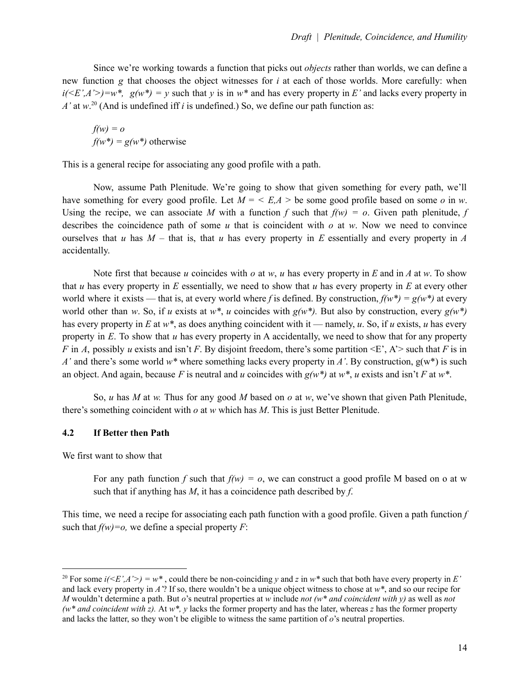Since we're working towards a function that picks out *objects* rather than worlds, we can define a new function *g* that chooses the object witnesses for *i* at each of those worlds. More carefully: when  $i(*E'*, *A'*) = w^*$ ,  $g(w^*) = v$  such that *y* is in  $w^*$  and has every property in *E'* and lacks every property in  $A'$  at  $w$ <sup>20</sup> (And is undefined iff *i* is undefined.) So, we define our path function as:

 $f(w) = o$  $f(w^*) = g(w^*)$  otherwise

This is a general recipe for associating any good profile with a path.

Now, assume Path Plenitude. We're going to show that given something for every path, we'll have something for every good profile. Let  $M = \langle E, A \rangle$  be some good profile based on some *o* in *w*. Using the recipe, we can associate *M* with a function *f* such that  $f(w) = 0$ . Given path plenitude, *f* describes the coincidence path of some *u* that is coincident with *o* at *w*. Now we need to convince ourselves that *u* has *M* – that is, that *u* has every property in *E* essentially and every property in *A* accidentally.

Note first that because *u* coincides with *o* at *w*, *u* has every property in *E* and in *A* at *w*. To show that *u* has every property in *E* essentially, we need to show that *u* has every property in *E* at every other world where it exists — that is, at every world where *f* is defined. By construction,  $f(w^*) = g(w^*)$  at every world other than *w*. So, if *u* exists at *w\**, *u* coincides with *g(w\*).* But also by construction, every *g(w\*)* has every property in *E* at  $w^*$ , as does anything coincident with it — namely, *u*. So, if *u* exists, *u* has every property in *E*. To show that *u* has every property in A accidentally, we need to show that for any property *F* in *A*, possibly *u* exists and isn't *F*. By disjoint freedom, there's some partition  $\leq$   $R$ ',  $A$ '> such that *F* is in *A'* and there's some world *w\** where something lacks every property in *A'*. By construction, g(w\*) is such an object. And again, because F is neutral and *u* coincides with  $g(w^*)$  at  $w^*$ , *u* exists and isn't F at  $w^*$ .

So, *u* has *M* at *w.* Thus for any good *M* based on *o* at *w*, we've shown that given Path Plenitude, there's something coincident with *o* at *w* which has *M*. This is just Better Plenitude.

## **4.2 If Better then Path**

We first want to show that

For any path function *f* such that  $f(w) = o$ , we can construct a good profile M based on o at w such that if anything has *M*, it has a coincidence path described by *f*.

This time, we need a recipe for associating each path function with a good profile. Given a path function *f* such that  $f(w)=o$ , we define a special property *F*:

<sup>&</sup>lt;sup>20</sup> For some  $i(\leq E', A'>) = w^*$ , could there be non-coinciding *y* and *z* in  $w^*$  such that both have every property in *E'* and lack every property in  $A$ <sup>'?</sup> If so, there wouldn't be a unique object witness to chose at  $w^*$ , and so our recipe for *M* wouldn't determine a path. But *o*'s neutral properties at *w* include *not (w\* and coincident with y)* as well as *not (w\* and coincident with z).* At *w\*, y* lacks the former property and has the later, whereas *z* has the former property and lacks the latter, so they won't be eligible to witness the same partition of *o*'s neutral properties.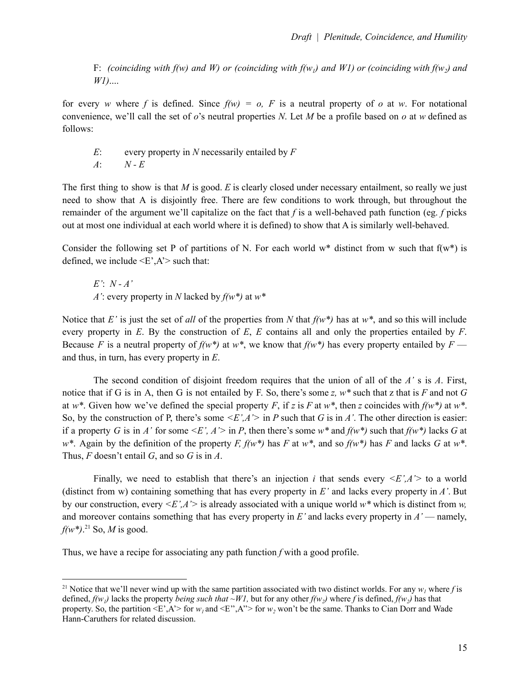F: (coinciding with f(w) and W) or (coinciding with f(w<sub>i</sub>) and W1) or (coinciding with f(w<sub>i</sub>) and *W1)*....

for every *w* where *f* is defined. Since  $f(w) = o$ , *F* is a neutral property of *o* at *w*. For notational convenience, we'll call the set of *o*'s neutral properties *N*. Let *M* be a profile based on *o* at *w* defined as follows:

*E*: every property in *N* necessarily entailed by *F A*: *N - E*

The first thing to show is that *M* is good. *E* is clearly closed under necessary entailment, so really we just need to show that A is disjointly free. There are few conditions to work through, but throughout the remainder of the argument we'll capitalize on the fact that *f* is a well-behaved path function (eg. *f* picks out at most one individual at each world where it is defined) to show that A is similarly well-behaved.

Consider the following set P of partitions of N. For each world  $w^*$  distinct from w such that  $f(w^*)$  is defined, we include  $\leq E$ ,  $A$ '> such that:

 $E'$ :  $N - A'$ *A'*: every property in *N* lacked by *f(w\*)* at *w\**

Notice that *E'* is just the set of *all* of the properties from *N* that  $f(w^*)$  has at  $w^*$ , and so this will include every property in *E*. By the construction of *E*, *E* contains all and only the properties entailed by *F*. Because *F* is a neutral property of  $f(w^*)$  at  $w^*$ , we know that  $f(w^*)$  has every property entailed by  $F$  and thus, in turn, has every property in *E*.

The second condition of disjoint freedom requires that the union of all of the *A'* s is *A*. First, notice that if G is in A, then G is not entailed by F. So, there's some *z, w\** such that z that is *F* and not *G* at *w*<sup>\*</sup>. Given how we've defined the special property *F*, if *z* is *F* at *w*<sup>\*</sup>, then *z* coincides with  $f(w^*)$  at  $w^*$ . So, by the construction of P, there's some  $\leq E'$ , A' in P such that G is in A'. The other direction is easier: if a property *G* is in *A'* for some  $\leq E'$ ,  $A' >$  in *P*, then there's some  $w^*$  and  $f(w^*)$  such that  $f(w^*)$  lacks *G* at *w\**. Again by the definition of the property *F*,  $f(w^*)$  has *F* at  $w^*$ , and so  $f(w^*)$  has *F* and lacks *G* at  $w^*$ . Thus, *F* doesn't entail *G*, and so *G* is in *A*.

Finally, we need to establish that there's an injection *i* that sends every  $\langle E', A' \rangle$  to a world (distinct from w) containing something that has every property in *E'* and lacks every property in *A'*. But by our construction, every *<E',A'>* is already associated with a unique world *w\** which is distinct from *w,* and moreover contains something that has every property in  $E'$  and lacks every property in  $A'$  — namely, *f(w\*)*. <sup>21</sup> So, *M* is good.

Thus, we have a recipe for associating any path function *f* with a good profile.

<sup>&</sup>lt;sup>21</sup> Notice that we'll never wind up with the same partition associated with two distinct worlds. For any  $w<sub>1</sub>$  where *f* is defined,  $f(w_i)$  lacks the property *being such that*  $\sim W1$ , but for any other  $f(w_i)$  where f is defined,  $f(w_i)$  has that property. So, the partition  $\leq E$ ',A'> for  $w_1$  and  $\leq E$ '',A''> for  $w_2$  won't be the same. Thanks to Cian Dorr and Wade Hann-Caruthers for related discussion.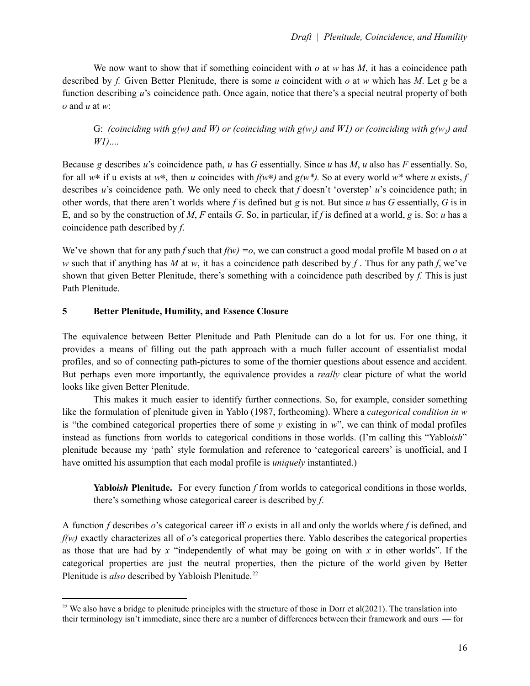We now want to show that if something coincident with *o* at *w* has *M*, it has a coincidence path described by *f.* Given Better Plenitude, there is some *u* coincident with *o* at *w* which has *M*. Let *g* be a function describing *u*'s coincidence path. Once again, notice that there's a special neutral property of both *o* and *u* at *w*:

G: (coinciding with  $g(w)$  and W) or (coinciding with  $g(w_i)$  and WI) or (coinciding with  $g(w_i)$  and *W1)*....

Because *g* describes *u*'s coincidence path, *u* has *G* essentially. Since *u* has *M*, *u* also has *F* essentially. So, for all *w*∗ if u exists at *w*∗, then *u* coincides with *f(w*∗*)* and *g(w\*).* So at every world *w\** where *u* exists, *f* describes *u*'s coincidence path. We only need to check that *f* doesn't 'overstep' *u*'s coincidence path; in other words, that there aren't worlds where f is defined but g is not. But since  $u$  has  $G$  essentially,  $G$  is in E, and so by the construction of *M*, *F* entails *G*. So, in particular, if *f* is defined at a world, *g* is. So: *u* has a coincidence path described by *f*.

We've shown that for any path *f* such that  $f(w) = o$ , we can construct a good modal profile M based on *o* at *w* such that if anything has *M* at *w*, it has a coincidence path described by *f*. Thus for any path *f*, we've shown that given Better Plenitude, there's something with a coincidence path described by *f.* This is just Path Plenitude.

# **5 Better Plenitude, Humility, and Essence Closure**

The equivalence between Better Plenitude and Path Plenitude can do a lot for us. For one thing, it provides a means of filling out the path approach with a much fuller account of essentialist modal profiles, and so of connecting path-pictures to some of the thornier questions about essence and accident. But perhaps even more importantly, the equivalence provides a *really* clear picture of what the world looks like given Better Plenitude.

This makes it much easier to identify further connections. So, for example, consider something like the formulation of plenitude given in Yablo (1987, forthcoming). Where a *categorical condition in w* is "the combined categorical properties there of some *y* existing in *w*", we can think of modal profiles instead as functions from worlds to categorical conditions in those worlds. (I'm calling this "Yablo*ish*" plenitude because my 'path' style formulation and reference to 'categorical careers' is unofficial, and I have omitted his assumption that each modal profile is *uniquely* instantiated.)

**Yablo***ish* **Plenitude.** For every function *f* from worlds to categorical conditions in those worlds, there's something whose categorical career is described by *f*.

A function *f* describes *o*'s categorical career iff *o* exists in all and only the worlds where *f* is defined, and *f(w)* exactly characterizes all of *o*'s categorical properties there. Yablo describes the categorical properties as those that are had by *x* "independently of what may be going on with *x* in other worlds". If the categorical properties are just the neutral properties, then the picture of the world given by Better Plenitude is *also* described by Yabloish Plenitude. 22

<sup>&</sup>lt;sup>22</sup> We also have a bridge to plenitude principles with the structure of those in Dorr et al(2021). The translation into their terminology isn't immediate, since there are a number of differences between their framework and ours — for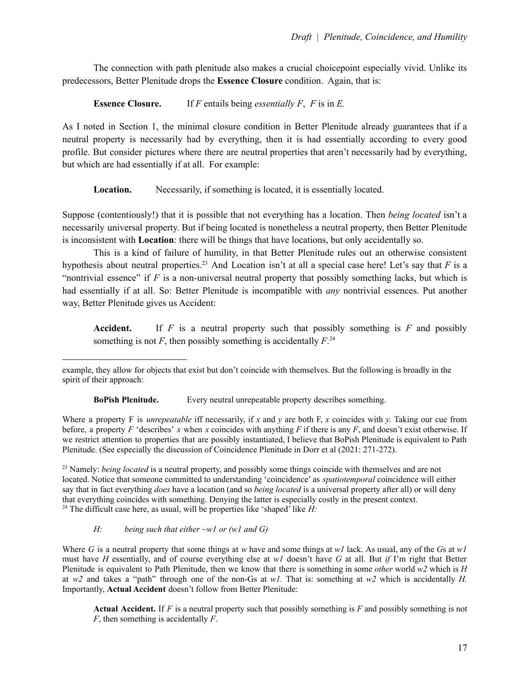The connection with path plenitude also makes a crucial choicepoint especially vivid. Unlike its predecessors, Better Plenitude drops the **Essence Closure** condition. Again, that is:

**Essence Closure.** If *F* entails being *essentially F*, *F* is in *E.*

As I noted in Section 1, the minimal closure condition in Better Plenitude already guarantees that if a neutral property is necessarily had by everything, then it is had essentially according to every good profile. But consider pictures where there are neutral properties that aren't necessarily had by everything, but which are had essentially if at all. For example:

**Location.** Necessarily, if something is located, it is essentially located.

Suppose (contentiously!) that it is possible that not everything has a location. Then *being located* isn't a necessarily universal property. But if being located is nonetheless a neutral property, then Better Plenitude is inconsistent with **Location**: there will be things that have locations, but only accidentally so.

This is a kind of failure of humility, in that Better Plenitude rules out an otherwise consistent hypothesis about neutral properties. <sup>23</sup> And Location isn't at all a special case here! Let's say that *F* is a "nontrivial essence" if *F* is a non-universal neutral property that possibly something lacks, but which is had essentially if at all. So: Better Plenitude is incompatible with *any* nontrivial essences. Put another way, Better Plenitude gives us Accident:

**Accident.** If *F* is a neutral property such that possibly something is *F* and possibly something is not  $F$ , then possibly something is accidentally  $F^{24}$ 

**BoPish Plenitude.** Every neutral unrepeatable property describes something.

Where a property F is *unrepeatable* iff necessarily, if *x* and *y* are both F, *x* coincides with *y.* Taking our cue from before, a property *F* 'describes' *x* when *x* coincides with anything *F* if there is any *F*, and doesn't exist otherwise. If we restrict attention to properties that are possibly instantiated, I believe that BoPish Plenitude is equivalent to Path Plenitude. (See especially the discussion of Coincidence Plenitude in Dorr et al (2021: 271-272).

<sup>24</sup> The difficult case here, as usual, will be properties like 'shaped' like  $H$ : <sup>23</sup> Namely: *being located* is a neutral property, and possibly some things coincide with themselves and are not located. Notice that someone committed to understanding 'coincidence' as *spatiotemporal* coincidence will either say that in fact everything *does* have a location (and so *being located* is a universal property after all) or will deny that everything coincides with something. Denying the latter is especially costly in the present context.

## *H: being such that either ~w1 or (w1 and G)*

Where G is a neutral property that some things at *w* have and some things at *w1* lack. As usual, any of the Gs at  $w1$ must have *H* essentially, and of course everything else at *w1* doesn't have *G* at all. But *if* I'm right that Better Plenitude is equivalent to Path Plenitude, then we know that there is something in some *other* world *w2* which is *H* at *w2* and takes a "path" through one of the non-Gs at *w1.* That is: something at *w2* which is accidentally *H.* Importantly, **Actual Accident** doesn't follow from Better Plenitude:

**Actual Accident.** If *F* is a neutral property such that possibly something is *F* and possibly something is not *F*, then something is accidentally *F*.

example, they allow for objects that exist but don't coincide with themselves. But the following is broadly in the spirit of their approach: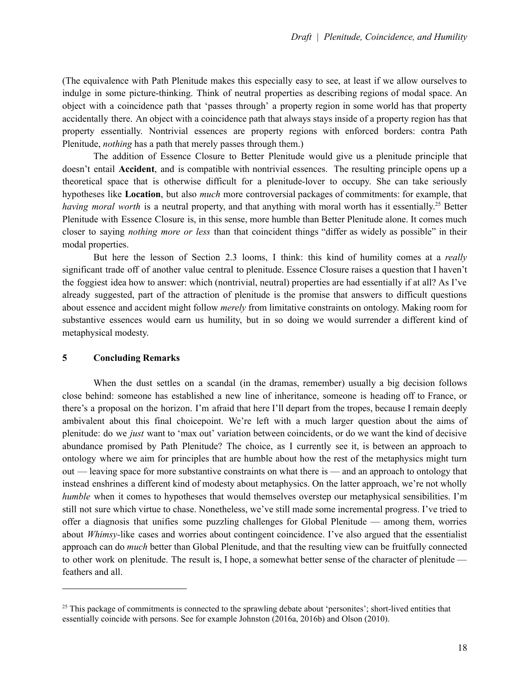(The equivalence with Path Plenitude makes this especially easy to see, at least if we allow ourselves to indulge in some picture-thinking. Think of neutral properties as describing regions of modal space. An object with a coincidence path that 'passes through' a property region in some world has that property accidentally there. An object with a coincidence path that always stays inside of a property region has that property essentially. Nontrivial essences are property regions with enforced borders: contra Path Plenitude, *nothing* has a path that merely passes through them.)

The addition of Essence Closure to Better Plenitude would give us a plenitude principle that doesn't entail **Accident**, and is compatible with nontrivial essences. The resulting principle opens up a theoretical space that is otherwise difficult for a plenitude-lover to occupy. She can take seriously hypotheses like **Location**, but also *much* more controversial packages of commitments: for example, that *having moral worth* is a neutral property, and that anything with moral worth has it essentially. <sup>25</sup> Better Plenitude with Essence Closure is, in this sense, more humble than Better Plenitude alone. It comes much closer to saying *nothing more or less* than that coincident things "differ as widely as possible" in their modal properties.

But here the lesson of Section 2.3 looms, I think: this kind of humility comes at a *really* significant trade off of another value central to plenitude. Essence Closure raises a question that I haven't the foggiest idea how to answer: which (nontrivial, neutral) properties are had essentially if at all? As I've already suggested, part of the attraction of plenitude is the promise that answers to difficult questions about essence and accident might follow *merely* from limitative constraints on ontology. Making room for substantive essences would earn us humility, but in so doing we would surrender a different kind of metaphysical modesty.

## **5 Concluding Remarks**

When the dust settles on a scandal (in the dramas, remember) usually a big decision follows close behind: someone has established a new line of inheritance, someone is heading off to France, or there's a proposal on the horizon. I'm afraid that here I'll depart from the tropes, because I remain deeply ambivalent about this final choicepoint. We're left with a much larger question about the aims of plenitude: do we *just* want to 'max out' variation between coincidents, or do we want the kind of decisive abundance promised by Path Plenitude? The choice, as I currently see it, is between an approach to ontology where we aim for principles that are humble about how the rest of the metaphysics might turn out — leaving space for more substantive constraints on what there is — and an approach to ontology that instead enshrines a different kind of modesty about metaphysics. On the latter approach, we're not wholly *humble* when it comes to hypotheses that would themselves overstep our metaphysical sensibilities. I'm still not sure which virtue to chase. Nonetheless, we've still made some incremental progress. I've tried to offer a diagnosis that unifies some puzzling challenges for Global Plenitude — among them, worries about *Whimsy-*like cases and worries about contingent coincidence. I've also argued that the essentialist approach can do *much* better than Global Plenitude, and that the resulting view can be fruitfully connected to other work on plenitude. The result is, I hope, a somewhat better sense of the character of plenitude feathers and all.

<sup>&</sup>lt;sup>25</sup> This package of commitments is connected to the sprawling debate about 'personites'; short-lived entities that essentially coincide with persons. See for example Johnston (2016a, 2016b) and Olson (2010).